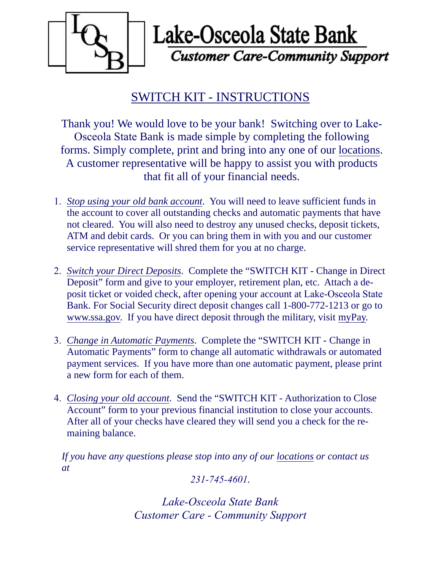

Lake-Osceola State Bank **Customer Care-Community Support** 

## SWITCH KIT - INSTRUCTIONS

Thank you! We would love to be your bank! Switching over to Lake-Osceola State Bank is made simple by completing the following forms. Simply complete, print and bring into any one of our locations. A customer representative will be happy to assist you with products that fit all of your financial needs.

- 1. *Stop using your old bank account*. You will need to leave sufficient funds in the account to cover all outstanding checks and automatic payments that have not cleared. You will also need to destroy any unused checks, deposit tickets, ATM and debit cards. Or you can bring them in with you and our customer service representative will shred them for you at no charge.
- 2. *Switch your Direct Deposits*. Complete the "SWITCH KIT Change in Direct Deposit" form and give to your employer, retirement plan, etc. Attach a deposit ticket or voided check, after opening your account at Lake-Osceola State Bank. For Social Security direct deposit changes call 1-800-772-1213 or go to www.ssa.gov. If you have direct deposit through the military, visit myPay.
- 3. *Change in Automatic Payments*. Complete the "SWITCH KIT Change in Automatic Payments" form to change all automatic withdrawals or automated payment services. If you have more than one automatic payment, please print a new form for each of them.
- 4. *Closing your old account*. Send the "SWITCH KIT Authorization to Close Account" form to your previous financial institution to close your accounts. After all of your checks have cleared they will send you a check for the remaining balance.

*If you have any questions please stop into any of our locations or contact us at*

*231-745-4601.*

*Lake-Osceola State Bank Customer Care - Community Support*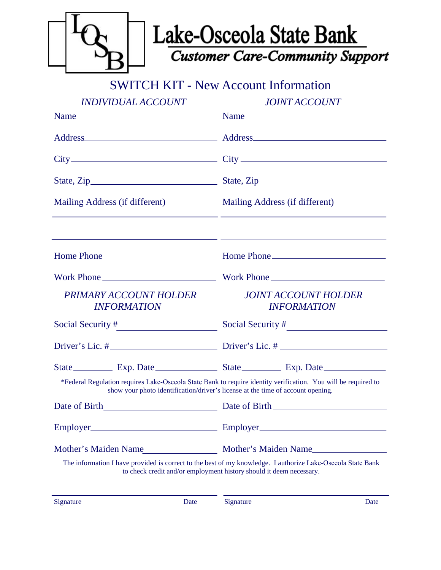

SWITCH KIT - New Account Information

|                                              | <i><b>INDIVIDUAL ACCOUNT</b></i>                                                |                                                   | <i>JOINT ACCOUNT</i>                                                                                           |  |
|----------------------------------------------|---------------------------------------------------------------------------------|---------------------------------------------------|----------------------------------------------------------------------------------------------------------------|--|
|                                              |                                                                                 | Name                                              |                                                                                                                |  |
|                                              |                                                                                 |                                                   |                                                                                                                |  |
|                                              |                                                                                 | $City$ $City$ $City$ $()$                         |                                                                                                                |  |
|                                              |                                                                                 |                                                   |                                                                                                                |  |
| Mailing Address (if different)               |                                                                                 | Mailing Address (if different)                    |                                                                                                                |  |
|                                              |                                                                                 |                                                   | <u> 1989 - Johann Stoff, fransk politik (f. 1989)</u>                                                          |  |
|                                              |                                                                                 |                                                   |                                                                                                                |  |
|                                              |                                                                                 |                                                   |                                                                                                                |  |
| PRIMARY ACCOUNT HOLDER<br><b>INFORMATION</b> |                                                                                 | <b>JOINT ACCOUNT HOLDER</b><br><b>INFORMATION</b> |                                                                                                                |  |
|                                              |                                                                                 |                                                   |                                                                                                                |  |
|                                              |                                                                                 | Driver's Lic. $\#$ Driver's Lic. $\#$             |                                                                                                                |  |
|                                              |                                                                                 |                                                   |                                                                                                                |  |
|                                              | show your photo identification/driver's license at the time of account opening. |                                                   | *Federal Regulation requires Lake-Osceola State Bank to require identity verification. You will be required to |  |
|                                              |                                                                                 |                                                   |                                                                                                                |  |
|                                              |                                                                                 |                                                   |                                                                                                                |  |
| Mother's Maiden Name                         |                                                                                 | Mother's Maiden Name                              |                                                                                                                |  |
|                                              | to check credit and/or employment history should it deem necessary.             |                                                   | The information I have provided is correct to the best of my knowledge. I authorize Lake-Osceola State Bank    |  |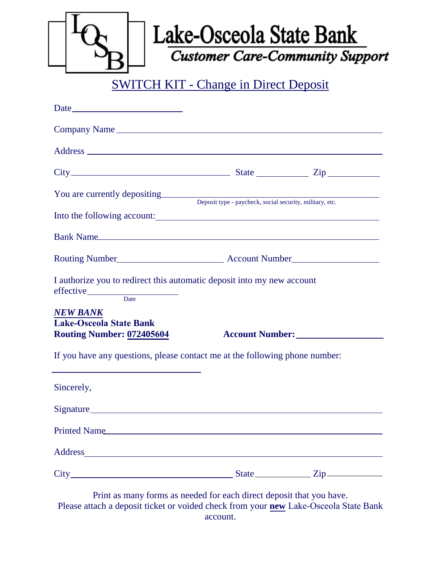| Lake-Osceola State Bank<br><b>Customer Care-Community Support</b><br><b>SWITCH KIT - Change in Direct Deposit</b>                                                                                   |  |                 |  |  |  |  |  |
|-----------------------------------------------------------------------------------------------------------------------------------------------------------------------------------------------------|--|-----------------|--|--|--|--|--|
|                                                                                                                                                                                                     |  |                 |  |  |  |  |  |
|                                                                                                                                                                                                     |  |                 |  |  |  |  |  |
|                                                                                                                                                                                                     |  |                 |  |  |  |  |  |
| $City$ $City$ $Step$ $Type$                                                                                                                                                                         |  |                 |  |  |  |  |  |
| You are currently depositing<br>Deposit type - paycheck, social security, military, etc.                                                                                                            |  |                 |  |  |  |  |  |
| Into the following account:                                                                                                                                                                         |  |                 |  |  |  |  |  |
| Bank Name                                                                                                                                                                                           |  |                 |  |  |  |  |  |
| I authorize you to redirect this automatic deposit into my new account<br>effective Date                                                                                                            |  |                 |  |  |  |  |  |
| NEW BANK<br><b>Lake-Osceola State Bank</b><br><b>Routing Number: 072405604</b>                                                                                                                      |  | Account Number: |  |  |  |  |  |
| If you have any questions, please contact me at the following phone number:<br><u> 1989 - Johann Stein, marwolaethau a bhann an t-Amhair an t-Amhair an t-Amhair an t-Amhair an t-Amhair an t-A</u> |  |                 |  |  |  |  |  |
| Sincerely,                                                                                                                                                                                          |  |                 |  |  |  |  |  |
|                                                                                                                                                                                                     |  |                 |  |  |  |  |  |
| Printed Name                                                                                                                                                                                        |  |                 |  |  |  |  |  |
|                                                                                                                                                                                                     |  |                 |  |  |  |  |  |
|                                                                                                                                                                                                     |  |                 |  |  |  |  |  |
| Drint as many forms as needed for each direct denosit that you have                                                                                                                                 |  |                 |  |  |  |  |  |

Print as many forms as needed for each direct deposit that you have. Please attach a deposit ticket or voided check from your **new** Lake-Osceola State Bank account.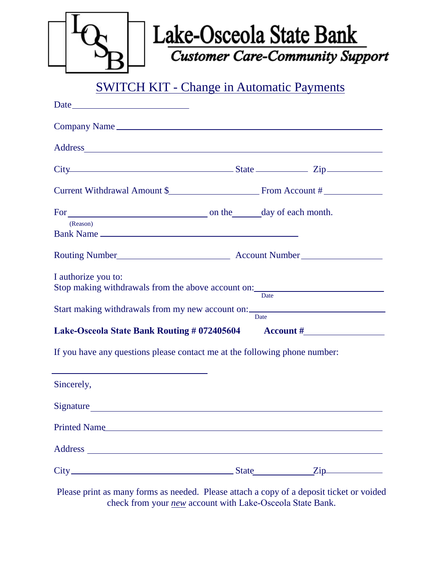| Lake-Osceola State Bank<br><b>Customer Care-Community Support</b> |
|-------------------------------------------------------------------|
|                                                                   |

SWITCH KIT - Change in Automatic Payments

| Company Name                                                                                             |             |                           |
|----------------------------------------------------------------------------------------------------------|-------------|---------------------------|
|                                                                                                          |             |                           |
| City State Zip                                                                                           |             |                           |
|                                                                                                          |             |                           |
|                                                                                                          |             |                           |
| (Reason)<br>Bank Name                                                                                    |             |                           |
|                                                                                                          |             |                           |
| I authorize you to:<br>Stop making withdrawals from the above account on: ______________________________ |             |                           |
| Start making withdrawals from my new account on: Date                                                    | <b>Date</b> |                           |
| Lake-Osceola State Bank Routing # 072405604 Account #                                                    |             |                           |
| If you have any questions please contact me at the following phone number:                               |             |                           |
| <u> 1989 - Johann Barn, amerikansk politiker (d. 1989)</u><br>Sincerely,                                 |             |                           |
| Signature                                                                                                |             |                           |
| Printed Name                                                                                             |             |                           |
|                                                                                                          |             |                           |
|                                                                                                          |             | $\overline{\mathrm{Zip}}$ |

Please print as many forms as needed. Please attach a copy of a deposit ticket or voided check from your *new* account with Lake-Osceola State Bank.